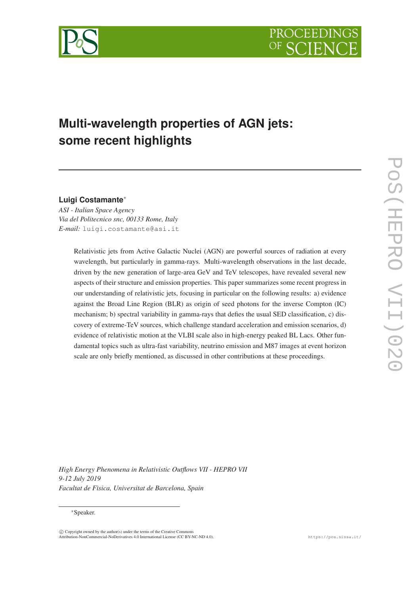



# **Multi-wavelength properties of AGN jets: some recent highlights**

# **Luigi Costamante**<sup>∗</sup>

*ASI - Italian Space Agency Via del Politecnico snc, 00133 Rome, Italy E-mail:* luigi.costamante@asi.it

> Relativistic jets from Active Galactic Nuclei (AGN) are powerful sources of radiation at every wavelength, but particularly in gamma-rays. Multi-wavelength observations in the last decade, driven by the new generation of large-area GeV and TeV telescopes, have revealed several new aspects of their structure and emission properties. This paper summarizes some recent progress in our understanding of relativistic jets, focusing in particular on the following results: a) evidence against the Broad Line Region (BLR) as origin of seed photons for the inverse Compton (IC) mechanism; b) spectral variability in gamma-rays that defies the usual SED classification, c) discovery of extreme-TeV sources, which challenge standard acceleration and emission scenarios, d) evidence of relativistic motion at the VLBI scale also in high-energy peaked BL Lacs. Other fundamental topics such as ultra-fast variability, neutrino emission and M87 images at event horizon scale are only briefly mentioned, as discussed in other contributions at these proceedings.

*High Energy Phenomena in Relativistic Outflows VII - HEPRO VII 9-12 July 2019 Facultat de Fìsica, Universitat de Barcelona, Spain*

#### <sup>∗</sup>Speaker.

 $\overline{c}$  Copyright owned by the author(s) under the terms of the Creative Commons Attribution-NonCommercial-NoDerivatives 4.0 International License (CC BY-NC-ND 4.0). https://pos.sissa.it/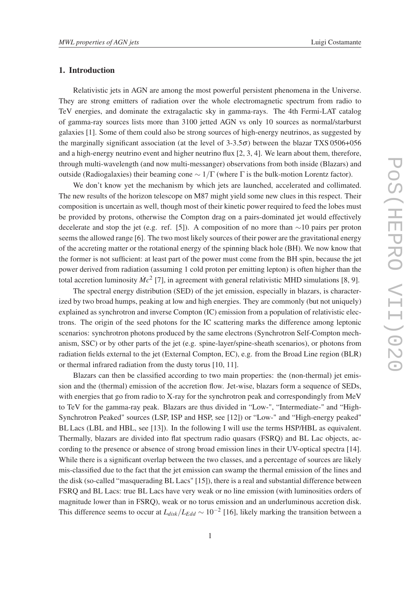## 1. Introduction

Relativistic jets in AGN are among the most powerful persistent phenomena in the Universe. They are strong emitters of radiation over the whole electromagnetic spectrum from radio to TeV energies, and dominate the extragalactic sky in gamma-rays. The 4th Fermi-LAT catalog of gamma-ray sources lists more than 3100 jetted AGN vs only 10 sources as normal/starburst galaxies [1]. Some of them could also be strong sources of high-energy neutrinos, as suggested by the marginally significant association (at the level of  $3-3.5\sigma$ ) between the blazar TXS 0506+056 and a high-energy neutrino event and higher neutrino flux [2, 3, 4]. We learn about them, therefore, through multi-wavelength (and now multi-messanger) observations from both inside (Blazars) and outside (Radiogalaxies) their beaming cone  $\sim 1/\Gamma$  (where  $\Gamma$  is the bulk-motion Lorentz factor).

We don't know yet the mechanism by which jets are launched, accelerated and collimated. The new results of the horizon telescope on M87 might yield some new clues in this respect. Their composition is uncertain as well, though most of their kinetic power required to feed the lobes must be provided by protons, otherwise the Compton drag on a pairs-dominated jet would effectively decelerate and stop the jet (e.g. ref. [5]). A composition of no more than ∼10 pairs per proton seems the allowed range [6]. The two most likely sources of their power are the gravitational energy of the accreting matter or the rotational energy of the spinning black hole (BH). We now know that the former is not sufficient: at least part of the power must come from the BH spin, because the jet power derived from radiation (assuming 1 cold proton per emitting lepton) is often higher than the total accretion luminosity  $\dot{M}c^2$  [7], in agreement with general relativistic MHD simulations [8, 9].

The spectral energy distribution (SED) of the jet emission, especially in blazars, is characterized by two broad humps, peaking at low and high energies. They are commonly (but not uniquely) explained as synchrotron and inverse Compton (IC) emission from a population of relativistic electrons. The origin of the seed photons for the IC scattering marks the difference among leptonic scenarios: synchrotron photons produced by the same electrons (Synchrotron Self-Compton mechanism, SSC) or by other parts of the jet (e.g. spine-layer/spine-sheath scenarios), or photons from radiation fields external to the jet (External Compton, EC), e.g. from the Broad Line region (BLR) or thermal infrared radiation from the dusty torus [10, 11].

Blazars can then be classified according to two main properties: the (non-thermal) jet emission and the (thermal) emission of the accretion flow. Jet-wise, blazars form a sequence of SEDs, with energies that go from radio to X-ray for the synchrotron peak and correspondingly from MeV to TeV for the gamma-ray peak. Blazars are thus divided in "Low-", "Intermediate-" and "High-Synchrotron Peaked" sources (LSP, ISP and HSP, see [12]) or "Low-" and "High-energy peaked" BL Lacs (LBL and HBL, see [13]). In the following I will use the terms HSP/HBL as equivalent. Thermally, blazars are divided into flat spectrum radio quasars (FSRQ) and BL Lac objects, according to the presence or absence of strong broad emission lines in their UV-optical spectra [14]. While there is a significant overlap between the two classes, and a percentage of sources are likely mis-classified due to the fact that the jet emission can swamp the thermal emission of the lines and the disk (so-called "masquerading BL Lacs" [15]), there is a real and substantial difference between FSRQ and BL Lacs: true BL Lacs have very weak or no line emission (with luminosities orders of magnitude lower than in FSRQ), weak or no torus emission and an underluminous accretion disk. This difference seems to occur at  $L_{disk}/L_{Edd} \sim 10^{-2}$  [16], likely marking the transition between a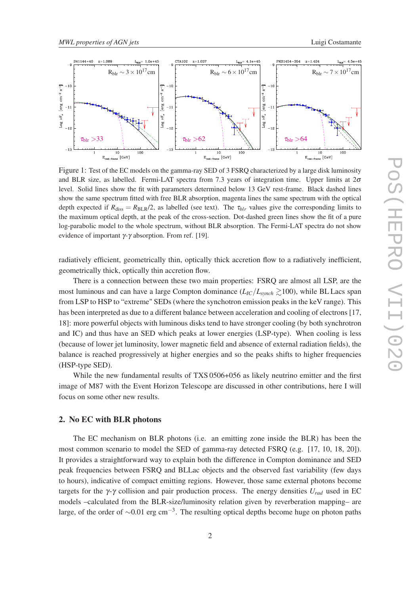

Figure 1: Test of the EC models on the gamma-ray SED of 3 FSRQ characterized by a large disk luminosity and BLR size, as labelled. Fermi-LAT spectra from 7.3 years of integration time. Upper limits at  $2\sigma$ level. Solid lines show the fit with parameters determined below 13 GeV rest-frame. Black dashed lines show the same spectrum fitted with free BLR absorption, magenta lines the same spectrum with the optical depth expected if  $R_{\text{diss}} = R_{\text{BLR}}/2$ , as labelled (see text). The  $\tau_{blr}$  values give the corresponding limits to the maximum optical depth, at the peak of the cross-section. Dot-dashed green lines show the fit of a pure log-parabolic model to the whole spectrum, without BLR absorption. The Fermi-LAT spectra do not show evidence of important  $\gamma$ - $\gamma$  absorption. From ref. [19].

radiatively efficient, geometrically thin, optically thick accretion flow to a radiatively inefficient, geometrically thick, optically thin accretion flow.

There is a connection between these two main properties: FSRQ are almost all LSP, are the most luminous and can have a large Compton dominance  $(L_{IC}/L_{synch} \gtrsim 100)$ , while BL Lacs span from LSP to HSP to "extreme" SEDs (where the synchotron emission peaks in the keV range). This has been interpreted as due to a different balance between acceleration and cooling of electrons [17, 18]: more powerful objects with luminous disks tend to have stronger cooling (by both synchrotron and IC) and thus have an SED which peaks at lower energies (LSP-type). When cooling is less (because of lower jet luminosity, lower magnetic field and absence of external radiation fields), the balance is reached progressively at higher energies and so the peaks shifts to higher frequencies (HSP-type SED).

While the new fundamental results of TXS 0506+056 as likely neutrino emitter and the first image of M87 with the Event Horizon Telescope are discussed in other contributions, here I will focus on some other new results.

### 2. No EC with BLR photons

The EC mechanism on BLR photons (i.e. an emitting zone inside the BLR) has been the most common scenario to model the SED of gamma-ray detected FSRQ (e.g. [17, 10, 18, 20]). It provides a straightforward way to explain both the difference in Compton dominance and SED peak frequencies between FSRQ and BLLac objects and the observed fast variability (few days to hours), indicative of compact emitting regions. However, those same external photons become targets for the  $\gamma$ - $\gamma$  collision and pair production process. The energy densities  $U_{rad}$  used in EC models –calculated from the BLR-size/luminosity relation given by reverberation mapping– are large, of the order of  $\sim$ 0.01 erg cm<sup>-3</sup>. The resulting optical depths become huge on photon paths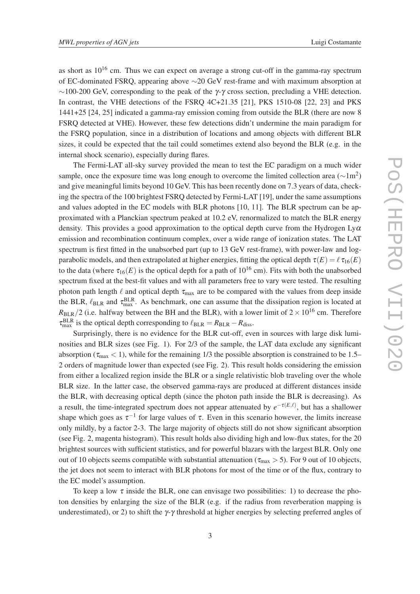as short as  $10^{16}$  cm. Thus we can expect on average a strong cut-off in the gamma-ray spectrum of EC-dominated FSRQ, appearing above ∼20 GeV rest-frame and with maximum absorption at  $\sim$ 100-200 GeV, corresponding to the peak of the γ-γ cross section, precluding a VHE detection. In contrast, the VHE detections of the FSRQ 4C+21.35 [21], PKS 1510-08 [22, 23] and PKS 1441+25 [24, 25] indicated a gamma-ray emission coming from outside the BLR (there are now 8 FSRQ detected at VHE). However, these few detections didn't undermine the main paradigm for the FSRQ population, since in a distribution of locations and among objects with different BLR sizes, it could be expected that the tail could sometimes extend also beyond the BLR (e.g. in the internal shock scenario), especially during flares.

The Fermi-LAT all-sky survey provided the mean to test the EC paradigm on a much wider sample, once the exposure time was long enough to overcome the limited collection area ( $\sim$ 1m<sup>2</sup>) and give meaningful limits beyond 10 GeV. This has been recently done on 7.3 years of data, checking the spectra of the 100 brightest FSRQ detected by Fermi-LAT [19], under the same assumptions and values adopted in the EC models with BLR photons [10, 11]. The BLR spectrum can be approximated with a Planckian spectrum peaked at 10.2 eV, renormalized to match the BLR energy density. This provides a good approximation to the optical depth curve from the Hydrogen  $Ly\alpha$ emission and recombination continuum complex, over a wide range of ionization states. The LAT spectrum is first fitted in the unabsorbed part (up to 13 GeV rest-frame), with power-law and logparabolic models, and then extrapolated at higher energies, fitting the optical depth  $\tau(E) = \ell \tau_{16}(E)$ to the data (where  $\tau_{16}(E)$  is the optical depth for a path of  $10^{16}$  cm). Fits with both the unabsorbed spectrum fixed at the best-fit values and with all parameters free to vary were tested. The resulting photon path length  $\ell$  and optical depth  $\tau_{\text{max}}$  are to be compared with the values from deep inside the BLR,  $\ell_{BLR}$  and  $\tau_{max}^{BLR}$ . As benchmark, one can assume that the dissipation region is located at  $R_{BLR}/2$  (i.e. halfway between the BH and the BLR), with a lower limit of  $2 \times 10^{16}$  cm. Therefore  $\tau_{\text{max}}^{\text{BLR}}$  is the optical depth corresponding to  $\ell_{\text{BLR}} = R_{\text{BLR}} - R_{\text{diss}}$ .

Surprisingly, there is no evidence for the BLR cut-off, even in sources with large disk luminosities and BLR sizes (see Fig. 1). For 2/3 of the sample, the LAT data exclude any significant absorption ( $\tau_{\text{max}}$  < 1), while for the remaining 1/3 the possible absorption is constrained to be 1.5– 2 orders of magnitude lower than expected (see Fig. 2). This result holds considering the emission from either a localized region inside the BLR or a single relativistic blob traveling over the whole BLR size. In the latter case, the observed gamma-rays are produced at different distances inside the BLR, with decreasing optical depth (since the photon path inside the BLR is decreasing). As a result, the time-integrated spectrum does not appear attenuated by  $e^{-\tau(E,\ell)}$ , but has a shallower shape which goes as  $\tau^{-1}$  for large values of  $\tau$ . Even in this scenario however, the limits increase only mildly, by a factor 2-3. The large majority of objects still do not show significant absorption (see Fig. 2, magenta histogram). This result holds also dividing high and low-flux states, for the 20 brightest sources with sufficient statistics, and for powerful blazars with the largest BLR. Only one out of 10 objects seems compatible with substantial attenuation ( $\tau_{\text{max}} > 5$ ). For 9 out of 10 objects, the jet does not seem to interact with BLR photons for most of the time or of the flux, contrary to the EC model's assumption.

To keep a low  $\tau$  inside the BLR, one can envisage two possibilities: 1) to decrease the photon densities by enlarging the size of the BLR (e.g. if the radius from reverberation mapping is underestimated), or 2) to shift the  $\gamma$ - $\gamma$  threshold at higher energies by selecting preferred angles of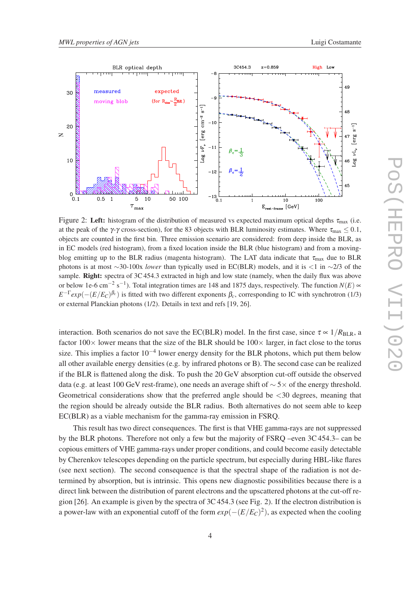

Figure 2: Left: histogram of the distribution of measured vs expected maximum optical depths  $\tau_{\text{max}}$  (i.e. at the peak of the  $\gamma$ -γ cross-section), for the 83 objects with BLR luminosity estimates. Where  $\tau_{\text{max}} \leq 0.1$ , objects are counted in the first bin. Three emission scenario are considered: from deep inside the BLR, as in EC models (red histogram), from a fixed location inside the BLR (blue histogram) and from a movingblog emitting up to the BLR radius (magenta histogram). The LAT data indicate that  $\tau_{\text{max}}$  due to BLR photons is at most ∼30-100x *lower* than typically used in EC(BLR) models, and it is <1 in ∼2/3 of the sample. Right: spectra of 3C 454.3 extracted in high and low state (namely, when the daily flux was above or below 1e-6 cm<sup>-2</sup> s<sup>-1</sup>). Total integration times are 148 and 1875 days, respectively. The function  $N(E) \propto$  $E^{-\Gamma} exp(-(E/E_C)^{\beta_c})$  is fitted with two different exponents  $\beta_c$ , corresponding to IC with synchrotron (1/3) or external Planckian photons (1/2). Details in text and refs [19, 26].

interaction. Both scenarios do not save the EC(BLR) model. In the first case, since  $\tau \propto 1/R_{\text{BLR}}$ , a factor  $100\times$  lower means that the size of the BLR should be  $100\times$  larger, in fact close to the torus size. This implies a factor  $10^{-4}$  lower energy density for the BLR photons, which put them below all other available energy densities (e.g. by infrared photons or B). The second case can be realized if the BLR is flattened along the disk. To push the 20 GeV absorption cut-off outside the observed data (e.g. at least 100 GeV rest-frame), one needs an average shift of ∼ 5× of the energy threshold. Geometrical considerations show that the preferred angle should be <30 degrees, meaning that the region should be already outside the BLR radius. Both alternatives do not seem able to keep EC(BLR) as a viable mechanism for the gamma-ray emission in FSRQ.

This result has two direct consequences. The first is that VHE gamma-rays are not suppressed by the BLR photons. Therefore not only a few but the majority of FSRQ –even 3C 454.3– can be copious emitters of VHE gamma-rays under proper conditions, and could become easily detectable by Cherenkov telescopes depending on the particle spectrum, but especially during HBL-like flares (see next section). The second consequence is that the spectral shape of the radiation is not determined by absorption, but is intrinsic. This opens new diagnostic possibilities because there is a direct link between the distribution of parent electrons and the upscattered photons at the cut-off region [26]. An example is given by the spectra of  $3C\,454.3$  (see Fig. 2). If the electron distribution is a power-law with an exponential cutoff of the form  $exp(-(E/E_C)^2)$ , as expected when the cooling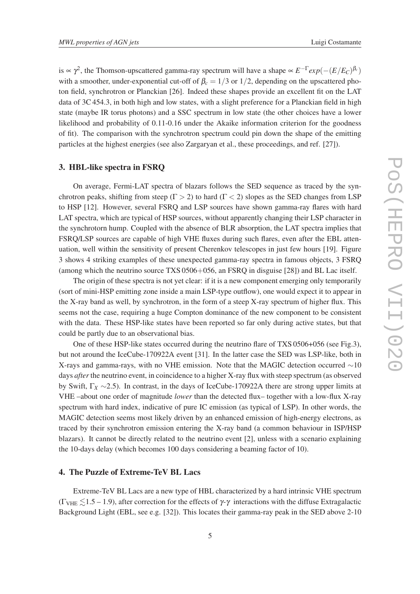is  $\propto \gamma^2$ , the Thomson-upscattered gamma-ray spectrum will have a shape  $\propto E^{-\Gamma} exp(-(E/E_C)^{\beta_c})$ with a smoother, under-exponential cut-off of  $\beta_c = 1/3$  or 1/2, depending on the upscattered photon field, synchrotron or Planckian [26]. Indeed these shapes provide an excellent fit on the LAT data of 3C 454.3, in both high and low states, with a slight preference for a Planckian field in high state (maybe IR torus photons) and a SSC spectrum in low state (the other choices have a lower likelihood and probability of 0.11-0.16 under the Akaike information criterion for the goodness of fit). The comparison with the synchrotron spectrum could pin down the shape of the emitting particles at the highest energies (see also Zargaryan et al., these proceedings, and ref. [27]).

#### 3. HBL-like spectra in FSRQ

On average, Fermi-LAT spectra of blazars follows the SED sequence as traced by the synchrotron peaks, shifting from steep ( $\Gamma > 2$ ) to hard ( $\Gamma < 2$ ) slopes as the SED changes from LSP to HSP [12]. However, several FSRQ and LSP sources have shown gamma-ray flares with hard LAT spectra, which are typical of HSP sources, without apparently changing their LSP character in the synchrotorn hump. Coupled with the absence of BLR absorption, the LAT spectra implies that FSRQ/LSP sources are capable of high VHE fluxes during such flares, even after the EBL attenuation, well within the sensitivity of present Cherenkov telescopes in just few hours [19]. Figure 3 shows 4 striking examples of these unexpected gamma-ray spectra in famous objects, 3 FSRQ (among which the neutrino source TXS 0506+056, an FSRQ in disguise [28]) and BL Lac itself.

The origin of these spectra is not yet clear: if it is a new component emerging only temporarily (sort of mini-HSP emitting zone inside a main LSP-type outflow), one would expect it to appear in the X-ray band as well, by synchrotron, in the form of a steep X-ray spectrum of higher flux. This seems not the case, requiring a huge Compton dominance of the new component to be consistent with the data. These HSP-like states have been reported so far only during active states, but that could be partly due to an observational bias.

One of these HSP-like states occurred during the neutrino flare of TXS 0506+056 (see Fig.3), but not around the IceCube-170922A event [31]. In the latter case the SED was LSP-like, both in X-rays and gamma-rays, with no VHE emission. Note that the MAGIC detection occurred ∼10 days *after* the neutrino event, in coincidence to a higher X-ray flux with steep spectrum (as observed by Swift, Γ*<sup>X</sup>* ∼2.5). In contrast, in the days of IceCube-170922A there are strong upper limits at VHE –about one order of magnitude *lower* than the detected flux– together with a low-flux X-ray spectrum with hard index, indicative of pure IC emission (as typical of LSP). In other words, the MAGIC detection seems most likely driven by an enhanced emission of high-energy electrons, as traced by their synchrotron emission entering the X-ray band (a common behaviour in ISP/HSP blazars). It cannot be directly related to the neutrino event [2], unless with a scenario explaining the 10-days delay (which becomes 100 days considering a beaming factor of 10).

## 4. The Puzzle of Extreme-TeV BL Lacs

Extreme-TeV BL Lacs are a new type of HBL characterized by a hard intrinsic VHE spectrum  $(\Gamma_{\text{VHE}} \leq 1.5 - 1.9)$ , after correction for the effects of  $\gamma$ - $\gamma$  interactions with the diffuse Extragalactic Background Light (EBL, see e.g. [32]). This locates their gamma-ray peak in the SED above 2-10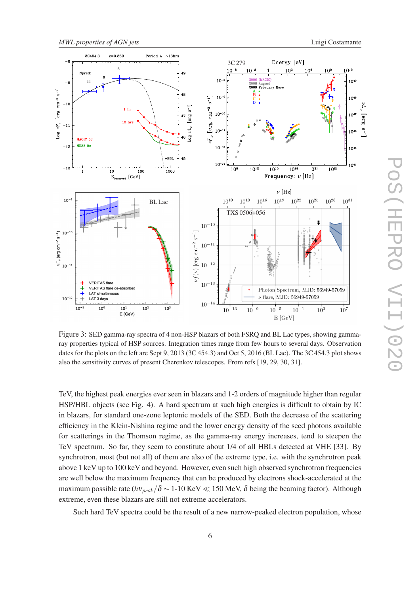

Figure 3: SED gamma-ray spectra of 4 non-HSP blazars of both FSRQ and BL Lac types, showing gammaray properties typical of HSP sources. Integration times range from few hours to several days. Observation dates for the plots on the left are Sept 9, 2013 (3C 454.3) and Oct 5, 2016 (BL Lac). The 3C 454.3 plot shows also the sensitivity curves of present Cherenkov telescopes. From refs [19, 29, 30, 31].

TeV, the highest peak energies ever seen in blazars and 1-2 orders of magnitude higher than regular HSP/HBL objects (see Fig. 4). A hard spectrum at such high energies is difficult to obtain by IC in blazars, for standard one-zone leptonic models of the SED. Both the decrease of the scattering efficiency in the Klein-Nishina regime and the lower energy density of the seed photons available for scatterings in the Thomson regime, as the gamma-ray energy increases, tend to steepen the TeV spectrum. So far, they seem to constitute about 1/4 of all HBLs detected at VHE [33]. By synchrotron, most (but not all) of them are also of the extreme type, i.e. with the synchrotron peak above 1 keV up to 100 keV and beyond. However, even such high observed synchrotron frequencies are well below the maximum frequency that can be produced by electrons shock-accelerated at the maximum possible rate ( $h\nu_{peak}/\delta \sim 1$ -10 KeV  $\ll 150$  MeV,  $\delta$  being the beaming factor). Although extreme, even these blazars are still not extreme accelerators.

Such hard TeV spectra could be the result of a new narrow-peaked electron population, whose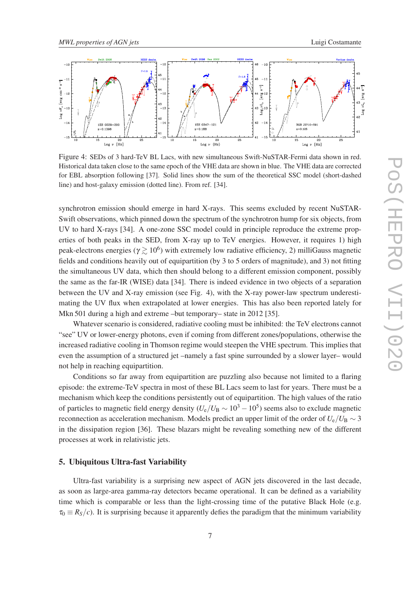

Figure 4: SEDs of 3 hard-TeV BL Lacs, with new simultaneous Swift-NuSTAR-Fermi data shown in red. Historical data taken close to the same epoch of the VHE data are shown in blue. The VHE data are corrected for EBL absorption following [37]. Solid lines show the sum of the theoretical SSC model (short-dashed line) and host-galaxy emission (dotted line). From ref. [34].

synchrotron emission should emerge in hard X-rays. This seems excluded by recent NuSTAR-Swift observations, which pinned down the spectrum of the synchrotron hump for six objects, from UV to hard X-rays [34]. A one-zone SSC model could in principle reproduce the extreme properties of both peaks in the SED, from X-ray up to TeV energies. However, it requires 1) high peak-electrons energies ( $\gamma \gtrsim 10^6$ ) with extremely low radiative efficiency, 2) milliGauss magnetic fields and conditions heavily out of equipartition (by 3 to 5 orders of magnitude), and 3) not fitting the simultaneous UV data, which then should belong to a different emission component, possibly the same as the far-IR (WISE) data [34]. There is indeed evidence in two objects of a separation between the UV and X-ray emission (see Fig. 4), with the X-ray power-law spectrum underestimating the UV flux when extrapolated at lower energies. This has also been reported lately for Mkn 501 during a high and extreme –but temporary– state in 2012 [35].

Whatever scenario is considered, radiative cooling must be inhibited: the TeV electrons cannot "see" UV or lower-energy photons, even if coming from different zones/populations, otherwise the increased radiative cooling in Thomson regime would steepen the VHE spectrum. This implies that even the assumption of a structured jet –namely a fast spine surrounded by a slower layer– would not help in reaching equipartition.

Conditions so far away from equipartition are puzzling also because not limited to a flaring episode: the extreme-TeV spectra in most of these BL Lacs seem to last for years. There must be a mechanism which keep the conditions persistently out of equipartition. The high values of the ratio of particles to magnetic field energy density ( $U_e/U_B \sim 10^3 - 10^5$ ) seems also to exclude magnetic reconnection as acceleration mechanism. Models predict an upper limit of the order of  $U_e/U_B \sim 3$ in the dissipation region [36]. These blazars might be revealing something new of the different processes at work in relativistic jets.

#### 5. Ubiquitous Ultra-fast Variability

Ultra-fast variability is a surprising new aspect of AGN jets discovered in the last decade, as soon as large-area gamma-ray detectors became operational. It can be defined as a variability time which is comparable or less than the light-crossing time of the putative Black Hole (e.g.  $\tau_0 \equiv R_S/c$ ). It is surprising because it apparently defies the paradigm that the minimum variability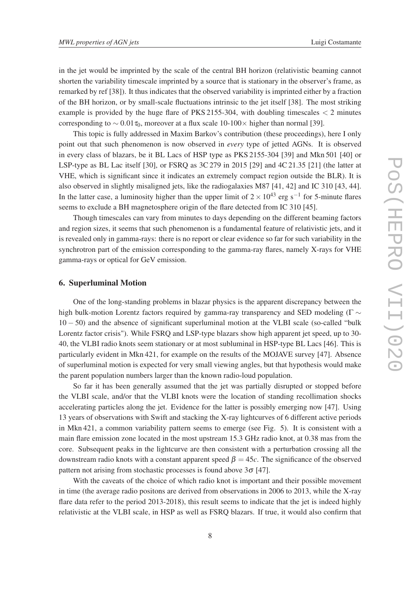in the jet would be imprinted by the scale of the central BH horizon (relativistic beaming cannot shorten the variability timescale imprinted by a source that is stationary in the observer's frame, as remarked by ref [38]). It thus indicates that the observed variability is imprinted either by a fraction of the BH horizon, or by small-scale fluctuations intrinsic to the jet itself [38]. The most striking example is provided by the huge flare of PKS 2155-304, with doubling timescales  $\lt 2$  minutes corresponding to  $\sim 0.01 \tau_0$ , moreover at a flux scale 10-100 $\times$  higher than normal [39].

This topic is fully addressed in Maxim Barkov's contribution (these proceedings), here I only point out that such phenomenon is now observed in *every* type of jetted AGNs. It is observed in every class of blazars, be it BL Lacs of HSP type as PKS 2155-304 [39] and Mkn 501 [40] or LSP-type as BL Lac itself [30], or FSRQ as 3C 279 in 2015 [29] and 4C 21.35 [21] (the latter at VHE, which is significant since it indicates an extremely compact region outside the BLR). It is also observed in slightly misaligned jets, like the radiogalaxies M87 [41, 42] and IC 310 [43, 44]. In the latter case, a luminosity higher than the upper limit of  $2 \times 10^{43}$  erg s<sup>-1</sup> for 5-minute flares seems to exclude a BH magnetosphere origin of the flare detected from IC 310 [45].

Though timescales can vary from minutes to days depending on the different beaming factors and region sizes, it seems that such phenomenon is a fundamental feature of relativistic jets, and it is revealed only in gamma-rays: there is no report or clear evidence so far for such variability in the synchrotron part of the emission corresponding to the gamma-ray flares, namely X-rays for VHE gamma-rays or optical for GeV emission.

#### 6. Superluminal Motion

One of the long-standing problems in blazar physics is the apparent discrepancy between the high bulk-motion Lorentz factors required by gamma-ray transparency and SED modeling ( $\Gamma \sim$ 10 − 50) and the absence of significant superluminal motion at the VLBI scale (so-called "bulk Lorentz factor crisis"). While FSRQ and LSP-type blazars show high apparent jet speed, up to 30- 40, the VLBI radio knots seem stationary or at most subluminal in HSP-type BL Lacs [46]. This is particularly evident in Mkn 421, for example on the results of the MOJAVE survey [47]. Absence of superluminal motion is expected for very small viewing angles, but that hypothesis would make the parent population numbers larger than the known radio-loud population.

So far it has been generally assumed that the jet was partially disrupted or stopped before the VLBI scale, and/or that the VLBI knots were the location of standing recollimation shocks accelerating particles along the jet. Evidence for the latter is possibly emerging now [47]. Using 13 years of observations with Swift and stacking the X-ray lightcurves of 6 different active periods in Mkn 421, a common variability pattern seems to emerge (see Fig. 5). It is consistent with a main flare emission zone located in the most upstream 15.3 GHz radio knot, at 0.38 mas from the core. Subsequent peaks in the lightcurve are then consistent with a perturbation crossing all the downstream radio knots with a constant apparent speed  $\beta = 45c$ . The significance of the observed pattern not arising from stochastic processes is found above  $3\sigma$  [47].

With the caveats of the choice of which radio knot is important and their possible movement in time (the average radio positons are derived from observations in 2006 to 2013, while the X-ray flare data refer to the period 2013-2018), this result seems to indicate that the jet is indeed highly relativistic at the VLBI scale, in HSP as well as FSRQ blazars. If true, it would also confirm that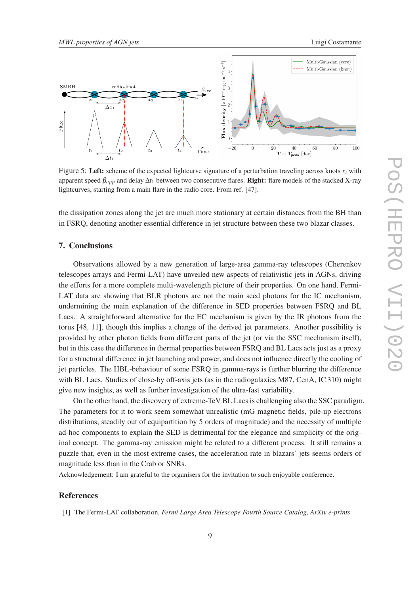

Figure 5: Left: scheme of the expected lightcurve signature of a perturbation traveling across knots  $x_i$  with apparent speed β*app* and delay ∆*t*<sup>1</sup> between two consecutive flares. Right: flare models of the stacked X-ray lightcurves, starting from a main flare in the radio core. From ref. [47].

the dissipation zones along the jet are much more stationary at certain distances from the BH than in FSRQ, denoting another essential difference in jet structure between these two blazar classes.

## 7. Conclusions

Observations allowed by a new generation of large-area gamma-ray telescopes (Cherenkov telescopes arrays and Fermi-LAT) have unveiled new aspects of relativistic jets in AGNs, driving the efforts for a more complete multi-wavelength picture of their properties. On one hand, Fermi-LAT data are showing that BLR photons are not the main seed photons for the IC mechanism, undermining the main explanation of the difference in SED properties between FSRQ and BL Lacs. A straightforward alternative for the EC mechanism is given by the IR photons from the torus [48, 11], though this implies a change of the derived jet parameters. Another possibility is provided by other photon fields from different parts of the jet (or via the SSC mechanism itself), but in this case the difference in thermal properties between FSRQ and BL Lacs acts just as a proxy for a structural difference in jet launching and power, and does not influence directly the cooling of jet particles. The HBL-behaviour of some FSRQ in gamma-rays is further blurring the difference with BL Lacs. Studies of close-by off-axis jets (as in the radiogalaxies M87, CenA, IC 310) might give new insights, as well as further investigation of the ultra-fast variability.

On the other hand, the discovery of extreme-TeV BL Lacs is challenging also the SSC paradigm. The parameters for it to work seem somewhat unrealistic (mG magnetic fields, pile-up electrons distributions, steadily out of equipartition by 5 orders of magnitude) and the necessity of multiple ad-hoc components to explain the SED is detrimental for the elegance and simplicity of the original concept. The gamma-ray emission might be related to a different process. It still remains a puzzle that, even in the most extreme cases, the acceleration rate in blazars' jets seems orders of magnitude less than in the Crab or SNRs.

Acknowledgement: I am grateful to the organisers for the invitation to such enjoyable conference.

## References

[1] The Fermi-LAT collaboration, *Fermi Large Area Telescope Fourth Source Catalog*, *ArXiv e-prints*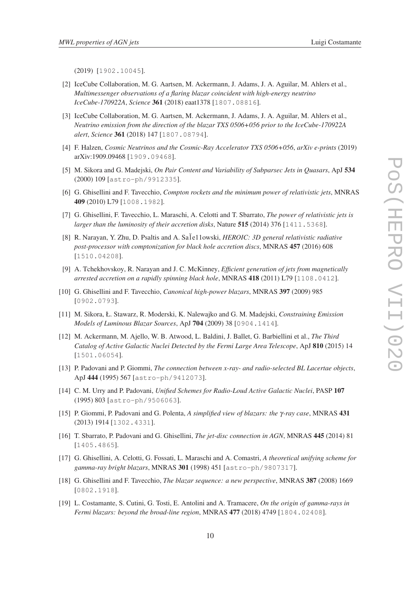(2019) [1902.10045].

- [2] IceCube Collaboration, M. G. Aartsen, M. Ackermann, J. Adams, J. A. Aguilar, M. Ahlers et al., *Multimessenger observations of a flaring blazar coincident with high-energy neutrino IceCube-170922A*, *Science* 361 (2018) eaat1378 [1807.08816].
- [3] IceCube Collaboration, M. G. Aartsen, M. Ackermann, J. Adams, J. A. Aguilar, M. Ahlers et al., *Neutrino emission from the direction of the blazar TXS 0506+056 prior to the IceCube-170922A alert*, *Science* 361 (2018) 147 [1807.08794].
- [4] F. Halzen, *Cosmic Neutrinos and the Cosmic-Ray Accelerator TXS 0506+056*, *arXiv e-prints* (2019) arXiv:1909.09468 [1909.09468].
- [5] M. Sikora and G. Madejski, *On Pair Content and Variability of Subparsec Jets in Quasars*, ApJ 534 (2000) 109 [astro-ph/9912335].
- [6] G. Ghisellini and F. Tavecchio, *Compton rockets and the minimum power of relativistic jets*, MNRAS 409 (2010) L79 [1008.1982].
- [7] G. Ghisellini, F. Tavecchio, L. Maraschi, A. Celotti and T. Sbarrato, *The power of relativistic jets is larger than the luminosity of their accretion disks*, Nature 515 (2014) 376 [1411.5368].
- [8] R. Narayan, Y. Zhu, D. Psaltis and A. Sa1e11owski, *HEROIC: 3D general relativistic radiative post-processor with comptonization for black hole accretion discs*, MNRAS 457 (2016) 608 [1510.04208].
- [9] A. Tchekhovskoy, R. Narayan and J. C. McKinney, *Efficient generation of jets from magnetically arrested accretion on a rapidly spinning black hole*, MNRAS 418 (2011) L79 [1108.0412].
- [10] G. Ghisellini and F. Tavecchio, *Canonical high-power blazars*, MNRAS 397 (2009) 985 [0902.0793].
- [11] M. Sikora, Ł. Stawarz, R. Moderski, K. Nalewajko and G. M. Madejski, *Constraining Emission Models of Luminous Blazar Sources*, ApJ 704 (2009) 38 [0904.1414].
- [12] M. Ackermann, M. Ajello, W. B. Atwood, L. Baldini, J. Ballet, G. Barbiellini et al., *The Third Catalog of Active Galactic Nuclei Detected by the Fermi Large Area Telescope*, ApJ 810 (2015) 14 [1501.06054].
- [13] P. Padovani and P. Giommi, *The connection between x-ray- and radio-selected BL Lacertae objects*, ApJ 444 (1995) 567 [astro-ph/9412073].
- [14] C. M. Urry and P. Padovani, *Unified Schemes for Radio-Loud Active Galactic Nuclei*, PASP 107 (1995) 803 [astro-ph/9506063].
- [15] P. Giommi, P. Padovani and G. Polenta, *A simplified view of blazars: the* γ*-ray case*, MNRAS 431 (2013) 1914 [1302.4331].
- [16] T. Sbarrato, P. Padovani and G. Ghisellini, *The jet-disc connection in AGN*, MNRAS 445 (2014) 81 [1405.4865].
- [17] G. Ghisellini, A. Celotti, G. Fossati, L. Maraschi and A. Comastri, *A theoretical unifying scheme for gamma-ray bright blazars*, MNRAS 301 (1998) 451 [astro-ph/9807317].
- [18] G. Ghisellini and F. Tavecchio, *The blazar sequence: a new perspective*, MNRAS 387 (2008) 1669 [0802.1918].
- [19] L. Costamante, S. Cutini, G. Tosti, E. Antolini and A. Tramacere, *On the origin of gamma-rays in Fermi blazars: beyond the broad-line region*, MNRAS 477 (2018) 4749 [1804.02408].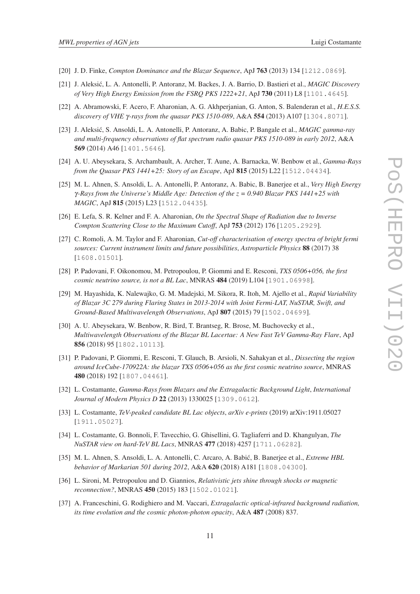- [20] J. D. Finke, *Compton Dominance and the Blazar Sequence*, ApJ 763 (2013) 134 [1212.0869].
- [21] J. Aleksic, L. A. Antonelli, P. Antoranz, M. Backes, J. A. Barrio, D. Ba ´ stieri et al., *MAGIC Discovery of Very High Energy Emission from the FSRQ PKS 1222+21*, ApJ 730 (2011) L8 [1101.4645].
- [22] A. Abramowski, F. Acero, F. Aharonian, A. G. Akhperjanian, G. Anton, S. Balenderan et al., *H.E.S.S. discovery of VHE* γ*-rays from the quasar PKS 1510-089*, A&A 554 (2013) A107 [1304.8071].
- [23] J. Aleksić, S. Ansoldi, L. A. Antonelli, P. Antoranz, A. Babic, P. Bangale et al., *MAGIC gamma-ray and multi-frequency observations of flat spectrum radio quasar PKS 1510-089 in early 2012*, A&A 569 (2014) A46 [1401.5646].
- [24] A. U. Abeysekara, S. Archambault, A. Archer, T. Aune, A. Barnacka, W. Benbow et al., *Gamma-Rays from the Quasar PKS 1441+25: Story of an Escape*, ApJ 815 (2015) L22 [1512.04434].
- [25] M. L. Ahnen, S. Ansoldi, L. A. Antonelli, P. Antoranz, A. Babic, B. Banerjee et al., *Very High Energy* γ*-Rays from the Universe's Middle Age: Detection of the z = 0.940 Blazar PKS 1441+25 with MAGIC*, ApJ 815 (2015) L23 [1512.04435].
- [26] E. Lefa, S. R. Kelner and F. A. Aharonian, *On the Spectral Shape of Radiation due to Inverse Compton Scattering Close to the Maximum Cutoff*, ApJ 753 (2012) 176 [1205.2929].
- [27] C. Romoli, A. M. Taylor and F. Aharonian, *Cut-off characterisation of energy spectra of bright fermi sources: Current instrument limits and future possibilities*, *Astroparticle Physics* 88 (2017) 38 [1608.01501].
- [28] P. Padovani, F. Oikonomou, M. Petropoulou, P. Giommi and E. Resconi, *TXS 0506+056, the first cosmic neutrino source, is not a BL Lac*, MNRAS 484 (2019) L104 [1901.06998].
- [29] M. Hayashida, K. Nalewajko, G. M. Madejski, M. Sikora, R. Itoh, M. Ajello et al., *Rapid Variability of Blazar 3C 279 during Flaring States in 2013-2014 with Joint Fermi-LAT, NuSTAR, Swift, and Ground-Based Multiwavelength Observations*, ApJ 807 (2015) 79 [1502.04699].
- [30] A. U. Abeysekara, W. Benbow, R. Bird, T. Brantseg, R. Brose, M. Buchovecky et al., *Multiwavelength Observations of the Blazar BL Lacertae: A New Fast TeV Gamma-Ray Flare*, ApJ 856 (2018) 95 [1802.10113].
- [31] P. Padovani, P. Giommi, E. Resconi, T. Glauch, B. Arsioli, N. Sahakyan et al., *Dissecting the region around IceCube-170922A: the blazar TXS 0506+056 as the first cosmic neutrino source*, MNRAS 480 (2018) 192 [1807.04461].
- [32] L. Costamante, *Gamma-Rays from Blazars and the Extragalactic Background Light*, *International Journal of Modern Physics D* 22 (2013) 1330025 [1309.0612].
- [33] L. Costamante, *TeV-peaked candidate BL Lac objects*, *arXiv e-prints* (2019) arXiv:1911.05027 [1911.05027].
- [34] L. Costamante, G. Bonnoli, F. Tavecchio, G. Ghisellini, G. Tagliaferri and D. Khangulyan, *The NuSTAR view on hard-TeV BL Lacs*, MNRAS 477 (2018) 4257 [1711.06282].
- [35] M. L. Ahnen, S. Ansoldi, L. A. Antonelli, C. Arcaro, A. Babic, B. Banerjee et al., ´ *Extreme HBL behavior of Markarian 501 during 2012*, A&A 620 (2018) A181 [1808.04300].
- [36] L. Sironi, M. Petropoulou and D. Giannios, *Relativistic jets shine through shocks or magnetic reconnection?*, MNRAS 450 (2015) 183 [1502.01021].
- [37] A. Franceschini, G. Rodighiero and M. Vaccari, *Extragalactic optical-infrared background radiation, its time evolution and the cosmic photon-photon opacity*, A&A 487 (2008) 837.